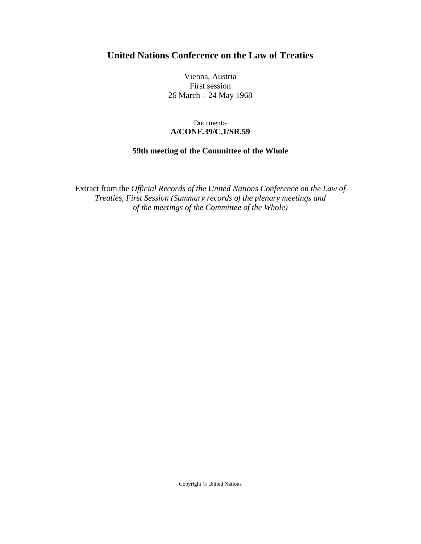# **United Nations Conference on the Law of Treaties**

Vienna, Austria First session 26 March – 24 May 1968

## Document:- **A/CONF.39/C.1/SR.59**

## **59th meeting of the Committee of the Whole**

Extract from the *Official Records of the United Nations Conference on the Law of Treaties, First Session (Summary records of the plenary meetings and of the meetings of the Committee of the Whole)* 

Copyright © United Nations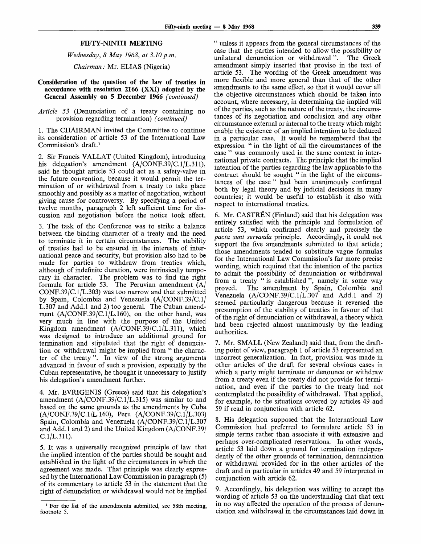#### **FIFTY-NINTH** MEETING

*Wednesday, 8 May 1968, at 3.10p.m.*

*Chairman:* Mr. ELIAS (Nigeria)

- **Consideration of the question of the law of treaties in accordance with resolution 2166** (XXI) **adopted by the General Assembly on 5 December 1966** *(continued)*
- *Article 53* (Denunciation of a treaty containing no provision regarding termination) *(continued)*

1. The CHAIRMAN invited the Committee to continue its consideration of article 53 of the International Law Commission's draft.<sup>1</sup>

2. Sir Francis VALLAT (United Kingdom), introducing his delegation's amendment (A/CONF.39/C.1/L.311), said he thought article 53 could act as a safety-valve in the future convention, because it would permit the termination of or withdrawal from a treaty to take place smoothly and possibly as a matter of negotiation, without giving cause for controversy. By specifying a period of twelve months, paragraph 2 left sufficient time for discussion and negotiation before the notice took effect.

3. The task of the Conference was to strike a balance between the binding character of a treaty and the need to terminate it in certain circumstances. The stability of treaties had to be ensured in the interests of international peace and security, but provision also had to be made for parties to withdraw from treaties which, although of indefinite duration, were intrinsically temporary in character. The problem was to find the right formula for article 53. The Peruvian amendment (A/ CONF.39/C.1/L.303) was too narrow and that submitted by Spain, Colombia and Venezuela (A/CONF.39/C.1/ L.307 and Add.l and 2) too general. The Cuban amendment (A/CONF.39/C.1/L.160), on the other hand, was very much in line with the purpose of the United Kingdom amendment  $(A/CONF.39/C.1/L.311)$ , which was designed to introduce an additional ground for termination and stipulated that the right of denunciation or withdrawal might be implied from " the character of the treaty ". In view of the strong arguments advanced in favour of such a provision, especially by the Cuban representative, he thought it unnecessary to justify his delegation's amendment further.

4. Mr. EVRIGENIS (Greece) said that his delegation's amendment (A/CONF.39/C.1/L.315) was similar to and based on the same grounds as the amendments by Cuba (A/CONF.39/C.1/L.160), Peru (A/CONF.39/C.1/L.303) Spain, Colombia and Venezuela (A/CONF.39/C.1/L.307 and Add.l and 2) and the United Kingdom (A/CONF.39/ C.1/L.311).

5. It was a universally recognized principle of law that the implied intention of the parties should be sought and established in the light of the circumstances in which the agreement was made. That principle was clearly expressed by the International Law Commission in paragraph (5) of its commentary to article 53 in the statement that the right of denunciation or withdrawal would not be implied

" unless it appears from the general circumstances of the case that the parties intended to allow the possibility or unilateral denunciation or withdrawal". The Greek amendment simply inserted that proviso in the text of article 53. The wording of the Greek amendment was more flexible and more general than that of the other amendments to the same effect, so that it would cover all the objective circumstances which should be taken into account, where necessary, in determining the implied will of the parties, such as the nature of the treaty, the circumstances of its negotiation and conclusion and any other circumstance external or internal to the treaty which might enable the existence of an implied intention to be deduced in a particular case. It would be remembered that the expression " in the light of all the circumstances of the case " was commonly used in the same context in international private contracts. The principle that the implied intention of the parties regarding the law applicable to the contract should be sought " in the light of the circumstances of the case " had been unanimously confirmed both by legal theory and by judicial decisions in many countries; it would be useful to establish it also with respect to international treaties.

6. Mr. CASTREN (Finland) said that his delegation was entirely satisfied with the principle and formulation of article 53, which confirmed clearly and precisely the *pacta sunt servanda* principle. Accordingly, it could not support the five amendments submitted to that article; those amendments tended to substitute vague formulas for the International Law Commission's far more precise wording, which required that the intention of the parties to admit the possibility of denunciation or withdrawal from a treaty " is established ", namely in some way proved. The amendment by Spain, Colombia and The amendment by Spain, Colombia and Venezuela  $(A/CONF.39/C.1/L.307$  and Add.1 and 2) seemed particularly dangerous because it reversed the presumption of the stability of treaties in favour of that of the right of denunciation or withdrawal, a theory which had been rejected almost unanimously by the leading authorities.

7. Mr. SMALL (New Zealand) said that, from the drafting point of view, paragraph 1 of article 53 represented an incorrect generalization. In fact, provision was made in other articles of the draft for several obvious cases in which a party might terminate or denounce or withdraw from a treaty even if the treaty did not provide for termination, and even if the parties to the treaty had not contemplated the possibility of withdrawal. That applied, for example, to the situations covered by articles 49 and 59 if read in conjunction with article 62.

8. His delegation supposed that the International Law Commission had preferred to formulate article 53 in simple terms rather than associate it with extensive and perhaps over-complicated reservations. In other words, article 53 laid down a ground for termination independently of the other grounds of termination, denunciation or withdrawal provided for in the other articles of the draft and in particular in articles 49 and 59 interpreted in conjunction with article 62.

9. Accordingly, his delegation was willing to accept the wording of article 53 on the understanding that that text in no way affected the operation of the process of denunciation and withdrawal in the circumstances laid down in

**<sup>1</sup>** For the list of the amendments submitted, see 58th meeting, footnote 5.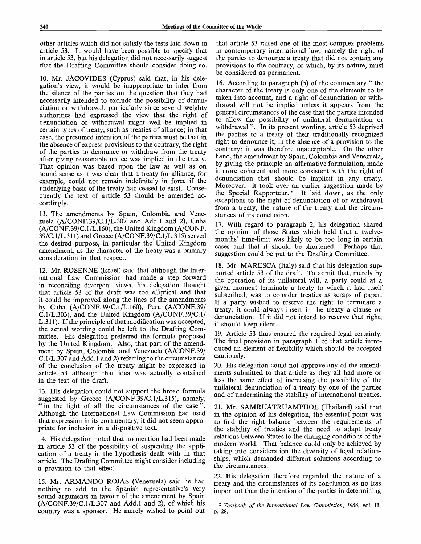other articles which did not satisfy the tests laid down in article 53. It would have been possible to specify that in article 53, but his delegation did not necessarily suggest that the Drafting Committee should consider doing so.

10. Mr. JACOVIDES (Cyprus) said that, in his delegation's view, it would be inappropriate to infer from the silence of the parties on the question that they had necessarily intended to exclude the possibility of denunciation or withdrawal, particularly since several weighty authorities had expressed the view that the right of denunciation or withdrawal might well be implied in certain types of treaty, such as treaties of alliance; in that case, the presumed intention of the parties must be that in the absence of express provisions to the contrary, the right of the parties to denounce or withdraw from the treaty after giving reasonable notice was implied in the treaty. That opinion was based upon the law as well as on sound sense as it was clear that a treaty for alliance, for example, could not remain indefinitely in force if the underlying basis of the treaty had ceased to exist. Consequently the text of article 53 should be amended accordingly.

11. The amendments by Spain, Colombia and Venezuela  $(A/CONF.39/C.1/L.307$  and Add.1 and 2), Cuba (A/CONF.39/C.1/L.160), the United Kingdom (A/CONF. 39/C.1/L.311) and Greece (A/CONF.39/C.1/L.315) served the desired purpose, in particular the United Kingdom amendment, as the character of the treaty was a primary consideration in that respect.

12. Mr. ROSENNE (Israel) said that although the International Law Commission had made a step forward in reconciling divergent views, his delegation thought that article 53 of the draft was too elliptical and that it could be improved along the lines of the amendments by Cuba (A/CONF.39/C.1/L.160), Peru (A/CONF.39/ C.1/L.303), and the United Kingdom (A/CONF.39/C.1/ L.311). If the principle of that modification was accepted, the actual wording could be left to the Drafting Committee. His delegation preferred the formula proposed by the United Kingdom. Also, that part of the amendment by Spain, Colombia and Venezuela (A/CONF.39/ C.1/L.307 and Add. 1 and 2) referring to the circumstances of the conclusion of the treaty might be expressed in article 53 although that idea was actually contained in the text of the draft.

13. His delegation could not support the broad formula suggested by Greece (A/CONF.39/C.1/L.315), namely, " in the light of all the circumstances of the case" Although the International Law Commission had used that expression in its commentary, it did not seem appropriate for inclusion in a dispositive text.

14. His delegation noted that no mention had been made in article 53 of the possibility of suspending the application of a treaty in the hypothesis dealt with in that article. The Drafting Committee might consider including a provision to that effect.

15. Mr. ARMANDO ROJAS (Venezuela) said he had nothing to add to the Spanish representative's very sound arguments in favour of the amendment by Spain  $(A/CONF.39/C.1/L.307$  and Add.1 and 2), of which his country was a sponsor. He merely wished to point out

that article 53 raised one of the most complex problems in contemporary international law, namely the right of the parties to denounce a treaty that did not contain any provisions to the contrary, or which, by its nature, must be considered as permanent.

16. According to paragraph (5) of the commentary " the character of the treaty is only one of the elements to be taken into account, and a right of denunciation or withdrawal will not be implied unless it appears from the general circumstances of the case that the parties intended to allow the possibility of unilateral denunciation or withdrawal ". In its present wording, article 53 deprived the parties to a treaty of their traditionally recognized right to denounce it, in the absence of a provision to the contrary; it was therefore unacceptable. On the other hand, the amendment by Spain, Colombia and Venezuela, by giving the principle an affirmative formulation, made it more coherent and more consistent with the right of denunciation that should be implicit in any treaty. Moreover, it took over an earlier suggestion made by the Special Rapporteur. <sup>2</sup> It laid down, as the only exceptions to the right of denunciation of or withdrawal from a treaty, the nature of the treaty and the circumstances of its conclusion.

17. With regard to paragraph 2, his delegation shared the opinion of those States which held that a twelvemonths' time-limit was likely to be too long in certain cases and that it should be shortened. Perhaps that suggestion could be put to the Drafting Committee.

18. Mr. MARESCA (Italy) said that his delegation supported article 53 of the draft. To admit that, merely by the operation of its unilateral will, a party could at a given moment terminate a treaty to which it had itself subscribed, was to consider treaties as scraps of paper. If a party wished to reserve the right to terminate a treaty, it could always insert in the treaty a clause on denunciation. If it did not intend to reserve that right, it should keep silent.

19. Article 53 thus ensured the required legal certainty. The final provision in paragraph 1 of that article introduced an element of flexibility which should be accepted cautiously.

20. His delegation could not approve any of the amendments submitted to that article as they all had more or less the same effect of increasing the possibility of the unilateral denunciation of a treaty by one of the parties and of undermining the stability of international treaties.

21. Mr. SAMRUATRUAMPHOL (Thailand) said that in the opinion of his delegation, the essential point was to find the right balance between the requirements of the stability of treaties and the need to adapt treaty relations between States to the changing conditions of the modern world. That balance cuold only be achieved by taking into consideration the diversity of legal relationships, which demanded different solutions according to the circumstances.

22. His delegation therefore regarded the nature of a treaty and the circumstances of its conclusion as no less important than the intention of the parties in determining

<sup>2</sup>  *Yearbook of the International Law Commission, 1966,* vol. II, p. 28.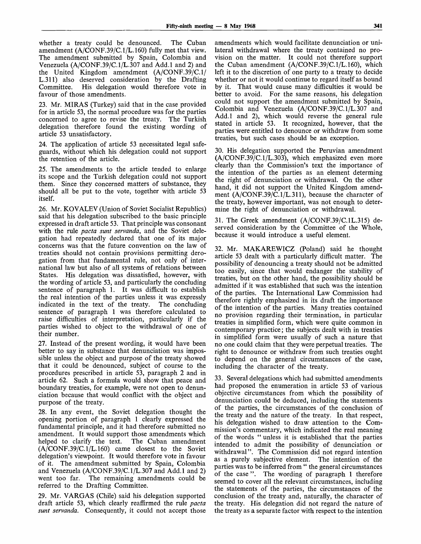whether a treaty could be denounced. The Cuban amendment (A/CONF.39/C.1/L.160) fully met that view. The amendment submitted by Spain, Colombia and Venezuela (A/CONF.39/C.1/L.307 and Add.l and 2) and the United Kingdom amendment (A/CONF.39/C.1/ L.311) also deserved consideration by the Drafting Committee. His delegation would therefore vote in favour of those amendments.

23. Mr. MIRAS (Turkey) said that in the case provided for in article 53, the normal procedure was for the parties concerned to agree to revise the treaty. The Turkish delegation therefore found the existing wording of article 53 unsatisfactory.

24. The application of article 53 necessitated legal safeguards, without which his delegation could not support the retention of the article.

25. The amendments to the article tended to enlarge its scope and the Turkish delegation could not support them. Since they concerned matters of substance, they should all be put to the vote, together with article 53 itself.

26. Mr. KOVALEV (Union of Soviet Socialist Republics) said that his delegation subscribed to the basic principle expressed in draft article 53. That principle was consonant with the rule *pacta sunt servanda,* and the Soviet delegation had repeatedly declared that one of its major concerns was that the future convention on the law of treaties should not contain provisions permitting derogation from that fundamental rule, not only of international law but also of all systems of relations between States. His delegation was dissatisfied, however, with the wording of article 53, and particularly the concluding sentence of paragraph 1. It was difficult to establish the real intention of the parties unless it was expressly indicated in the text of the treaty. The concluding sentence of paragraph 1 was therefore calculated to raise difficulties of interpretation, particularly if the parties wished to object to the withdrawal of one of their number.

27. Instead of the present wording, it would have been better to say in substance that denunciation was impossible unless the object and purpose of the treaty showed that it could be denounced, subject of course to the procedures prescribed in article 53, paragraph 2 and in article 62. Such a formula would show that peace and boundary treaties, for example, were not open to denunciation because that would conflict with the object and purpose of the treaty.

28. In any event, the Soviet delegation thought the opening portion of paragraph 1 clearly expressed the fundamental principle, and it had therefore submitted no amendment. It would support those amendments which<br>helped to clarify the text. The Cuban amendment helped to clarify the text. (A/CONF.39/C.1/L.160) came closest to the Soviet delegation's viewpoint. It would therefore vote in favour of it. The amendment submitted by Spain, Colombia and Venezuela  $(A/CONF.39/C.1/L.307$  and Add.1 and 2) went too far. The remaining amendments could be The remaining amendments could be referred to the Drafting Committee.

29. Mr. VARGAS (Chile) said his delegation supported draft article 53, which clearly reaffirmed the rule *pacta sunt servanda.* Consequently, it could not accept those amendments which would facilitate denunciation or unilateral withdrawal where the treaty contained no provision on the matter. It could not therefore support the Cuban amendment (A/CONF.39/C.1/L.160), which left it to the discretion of one party to a treaty to decide whether or not it would continue to regard itself as bound by it. That would cause many difficulties it would be better to avoid. For the same reasons, his delegation could not support the amendment submitted by Spain, Colombia and Venezuela (A/CONF.39/C.1/L.307 and Add.l and 2), which would reverse the general rule stated in article 53. It recognized, however, that the parties were entitled to denounce or withdraw from some treaties, but such cases should be an exception.

30. His delegation supported the Peruvian amendment (A/CONF.39/C.1/L.303), which emphasized even more clearly than the Commission's text the importance of the intention of the parties as an element determing the right of denunciation or withdrawal. On the other hand, it did not support the United Kingdom amendment (A/CONF.39/C.1/L.311), because the character of the treaty, however important, was not enough to determine the right of denunciation or withdrawal.

31. The Greek amendment (A/CONF.39/C.1L.315) deserved consideration by the Committee of the Whole, because it would introduce a useful element.

32. Mr. MAKAREWICZ (Poland) said he thought article 53 dealt with a particularly difficult matter. The possibility of denouncing a treaty should not be admitted too easily, since that would endanger the stability of treaties, but on the other hand, the possibility should be admitted if it was established that such was the intention of the parties. The International Law Commission had therefore rightly emphasized in its draft the importance of the intention of the parties. Many treaties contained no provision regarding their termination, in particular treaties in simplified form, which were quite common in contemporary practice; the subjects dealt with in treaties in simplified form were usually of such a nature that no one could claim that they were perpetual treaties. The right to denounce or withdraw from such treaties ought to depend on the general circumstances of the case, including the character of the treaty.

33. Several delegations which had submitted amendments had proposed the enumeration in article 53 of various objective circumstances from which the possibility of denunciation could be deduced, including the statements of the parties, the circumstances of the conclusion of the treaty and the nature of the treaty. In that respect, his delegation wished to draw attention to the Commission's commentary, which indicated the real meaning of the words " unless it is established that the parties intended to admit the possibility of denunciation or withdrawal". The Commission did not regard intention as a purely subjective element. The intention of the parties was to be inferred from " the general circumstances of the case ". The wording of paragraph 1 therefore seemed to cover all the relevant circumstances, including the statements of the parties, the circumstances of the conclusion of the treaty and, naturally, the character of the treaty. His delegation did not regard the nature of the treaty as a separate factor with respect to the intention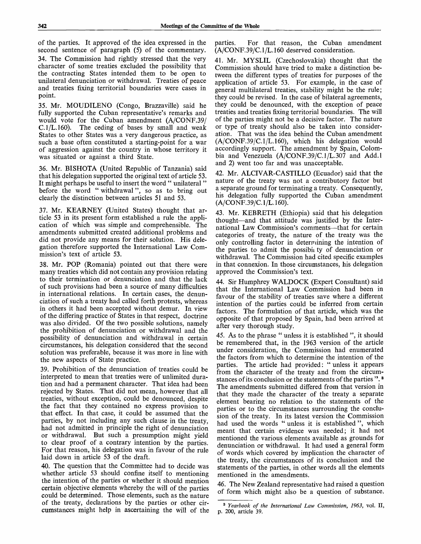of the parties. It approved of the idea expressed in the second sentence of paragraph (5) of the commentary. 34. The Commission had rightly stressed that the very character of some treaties excluded the possibility that the contracting States intended them to be open to unilateral denunciation or withdrawal. Treaties of peace and treaties fixing territorial boundaries were cases in point.

35. Mr. MOUDILENO (Congo, Brazzaville) said he fully supported the Cuban representative's remarks and would vote for the Cuban amendment (A/CONF.39/  $C.1/L.160$ . The ceding of bases by small and weak States to other States was a very dangerous practice, as such a base often constituted a starting-point for a war of aggression against the country in whose territory it was situated or against a third State.

36. Mr. BISHOTA (United Republic of Tanzania) said that his delegation supported the original text of article 53. It might perhaps be useful to insert the word " unilateral " before the word " withdrawal", so as to bring out clearly the distinction between articles 51 and 53.

37. Mr. KEARNEY (United States) thought that article 53 in its present form established a rule the application of which was simple and comprehensible. The amendments submitted created additional problems and did not provide any means for their solution. His delegation therefore supported the International Law Commission's text of article 53.

38. Mr. POP (Romania) pointed out that there were many treaties which did not contain any provision relating to their termination or denunciation and that the lack of such provisions had been a source of many difficulties in international relations. In certain cases, the denunciation of such a treaty had called forth protests, whereas in others it had been accepted without demur. In view of the differing practice of States in that respect, doctrine was also divided. Of the two possible solutions, namely the prohibition of denunciation or withdrawal and the possibility of denunciation and withdrawal in certain circumstances, his delegation considered that the second solution was preferable, because it was more in line with the new aspects of State practice.

39. Prohibition of the denunciation of treaties could be interpreted to mean that treaties were of unlimited duration and had a permanent character. That idea had been rejected by States. That did not mean, however that all treaties, without exception, could be denounced, despite the fact that they contained no express provision to that effect. In that case, it could be assumed that the parties, by not including any such clause in the treaty, had not admitted in principle the right of denunciation or withdrawal. But such a presumption might yield to clear proof of a contrary intention by the parties. For that reason, his delegation was in favour of the rule laid down in article 53 of the draft.

40. The question that the Committee had to decide was whether article 53 should confine itself to mentioning the intention of the parties or whether it should mention certain objective elements whereby the will of the parties could be determined. Those elements, such as the nature of the treaty, declarations by the parties or other circumstances might help in ascertaining the will of the

parties. For that reason, the Cuban amendment (A/CONF.39/C.1/L.160 deserved consideration.

41. Mr. MYSLIL (Czechoslovakia) thought that the Commission should have tried to make a distinction between the different types of treaties for purposes of the application of article 53. For example, in the case of general multilateral treaties, stability might be the rule; they could be revised. In the case of bilateral agreements, they could be denounced, with the exception of peace treaties and treaties fixing territorial boundaries. The will of the parties might not be a decisive factor. The nature or type of treaty should also be taken into consideration. That was the idea behind the Cuban amendment (A/CONF.39/C.1/L.160), which his delegation would accordingly support. The amendment by Spain, Colombia and Venezuela (A/CONF.39/C.1/L.307 and Add.l and 2) went too far and was unacceptable.

42. Mr. ALCIVAR-CASTILLO (Ecuador) said that the nature of the treaty was not a contributory factor but a separate ground for terminating a treaty. Consequently, his delegation fully supported the Cuban amendment (A/CONF.39/C.1/L.160).

43. Mr. KEBRETH (Ethiopia) said that his delegation thought—and that attitude was justified by the International Law Commission's comments—that for certain categories of treaty, the nature of the treaty was the only controlling factor in determining the intention of the parties to admit the possibii ty of denunciation or withdrawal. The Commission had cited specific examples in that connexion. In those circumstances, his delegation approved the Commission's text.

44. Sir Humphrey WALDOCK (Expert Consultant) said that the International Law Commission had been in favour of the stability of treaties save where a different intention of the parties could be inferred from certain factors. The formulation of that article, which was the opposite of that proposed by Spain, had been arrived at after very thorough study.

45. As to the phrase " unless it is established ", it should be remembered that, in the 1963 version of the article under consideration, the Commission had enumerated the factors from which to determine the intention of the parties. The article had provided: "unless it appears from the character of the treaty and from the circumstances of its conclusion or the statements of the parties ".<sup>8</sup> The amendments submitted differed from that version in that they made the character of the treaty a separate element bearing no relation to the statements of the parties or to the circumstances surrounding the conclusion of the treaty. In its latest version the Commission had used the words " unless it is established ", which meant that certain evidence was needed; it had not mentioned the various elements available as grounds for denunciation or withdrawal. It had used a general form of words which covered by implication the character of the treaty, the circumstances of its conclusion and the statements of the parties, in other words all the elements mentioned in the amendments.

46. The New Zealand representative had raised a question of form which might also be a question of substance.

<sup>3</sup>  *Yearbook of the International Law Commission, 1963,* vol. II, p. 200, article 39.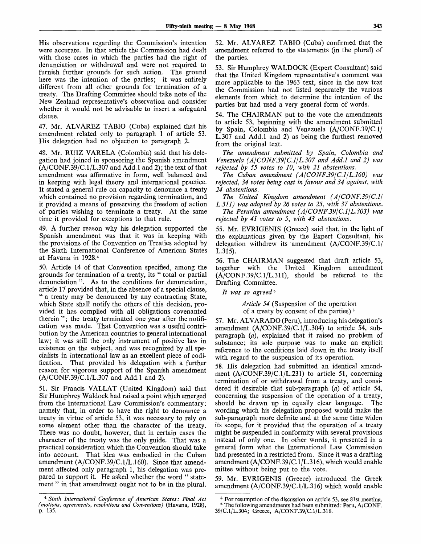His observations regarding the Commission's intention were accurate. In that article the Commission had dealt with those cases in which the parties had the right of denunciation or withdrawal and were not required to furnish further grounds for such action. The ground here was the intention of the parties; it was entirely different from all other grounds for termination of a treaty. The Drafting Committee should take note of the New Zealand representative's observation and consider whether it would not be advisable to insert a safeguard clause.

47. Mr. ALVAREZ TABIO (Cuba) explained that his amendment related only to paragraph 1 of article 53. His delegation had no objection to paragraph 2.

48. Mr. RUIZ VARELA (Colombia) said that his delegation had joined in sponsoring the Spanish amendment  $(A/CONF.39/C.1/L.307$  and Add.1 and 2); the text of that amendment was affirmative in form, well balanced and in keeping with legal theory and international practice. It stated a general rule on capacity to denounce a treaty which contained no provision regarding termination, and it provided a means of preserving the freedom of action of parties wishing to terminate a treaty. At the same time it provided for exceptions to that rule.

49. A further reason why his delegation supported the Spanish amendment was that it was in keeping with the provisions of the Convention on Treaties adopted by the Sixth International Conference of American States at Havana in 1928.<sup>4</sup>

50. Article 14 of that Convention specified, among the grounds for termination of a treaty, its " total or partial denunciation ". As to the conditions for denunciation, article 17 provided that, in the absence of a special clause, " a treaty may be denounced by any contracting State, which State shall notify the others of this decision, provided it has complied with all obligations covenanted therein "; the treaty terminated one year after the notification was made. That Convention was a useful contribution by the American countries to general international law; it was still the only instrument of positive law in existence on the subject, and was recognized by all specialists in international law as an excellent piece of codification. That provided his delegation with a further reason for vigorous support of the Spanish amendment (A/CONF.39/C.1/L.307 and Add.l and 2).

51. Sir Francis VALLAT (United Kingdom) said that Sir Humphrey Waldock had raised a point which emerged from the International Law Commission's commentary: namely that, in order to have the right to denounce a treaty in virtue of article 53, it was necessary to rely on some element other than the character of the treaty. There was no doubt, however, that in certain cases the character of the treaty was the only guide. That was a practical consideration which the Convention should take into account. That idea was embodied in the Cuban amendment (A/CONF.39/C.1/L.160). Since that amendment affected only paragraph 1, his delegation was prepared to support it. He asked whether the word " statement" in that amendment ought not to be in the plural.

52. Mr. ALVAREZ TABIO (Cuba) confirmed that the amendment referred to the statements (in the plural) of the parties.

53. Sir Humphrey WALDOCK (Expert Consultant) said that the United Kingdom representative's comment was more applicable to the 1963 text, since in the new text the Commission had not listed separately the various elements from which to determine the intention of the parties but had used a very general form of words.

54. The CHAIRMAN put to the vote the amendments to article 53, beginning with the amendment submitted by Spain, Colombia and Venezuela (A/CONF.39/C.1/ L.307 and Add.l and 2) as being the furthest removed from the original text.

*The amendment submitted by Spain, Colombia and Venezuela (A/CONF.39/C.1/L.307 and Add.l and 2) was rejected by 55 votes to 10, with 21 abstentions.*

*The Cuban amendment (A/CONF.39/C.1/L.160) was rejected, 34 votes being cast in favour and 34 against, with 24 abstentions.*

*The United Kingdom amendment (A/CONF.39/C.1/ L.311) was adopted by 26 votes to 25, with 37 abstentions.*

*The Peruvian amendment (A/CONF.39/C.1/L.303) was rejected by 41 votes to 5, with 43 abstentions.*

55. Mr. EVRIGENIS (Greece) said that, in the light of the explanations given by the Expert Consultant, his delegation withdrew its amendment (A/CONF.39/C.1/ L.315).

56. The CHAIRMAN suggested that draft article 53, together with the United Kingdom amendment (A/CONF.39/C.1/L.311), should be referred to the Drafting Committee.

*It was so agreed<sup>5</sup>*

*Article 54* (Suspension of the operation of a treaty by consent of the parties)<sup>6</sup>

57. Mr. ALVARADO (Peru), introducing his delegation's amendment (A/CONF.39/C.1/L.304) to article 54, subparagraph *(a),* explained that it raised no problem of substance; its sole purpose was to make an explicit reference to the conditions laid down in the treaty itself with regard to the suspension of its operation.

58. His delegation had submitted an identical amendment  $(A/CONF.39/C.1/L.231)$  to article 51, concerning termination of or withdrawal from a treaty, and considered it desirable that sub-paragraph *(a)* of article 54, concerning the suspension of the operation of a treaty, should be drawn up in equally clear language. The wording which his delegation proposed would make the sub-paragraph more definite and at the same time widen its scope, for it provided that the operation of a treaty might be suspended in conformity with several provisions instead of only one. In other words, it presented in a general form what the International Law Commission had presented in a restricted from. Since it was a drafting amendment (A/CONF.39/C.1/L.316), which would enable mittee without being put to the vote.

59. Mr. EVRIGENIS (Greece) introduced the Greek amendment (A/CONF.39/C.1/L.316) which would enable

<sup>4</sup>  *Sixth International Conference of American States: Final Act (motions, agreements, resolutions and Conventions)* (Havana, 1928), p. 135.

<sup>&</sup>lt;sup>5</sup> For resumption of the discussion on article 53, see 81st meeting. <sup>8</sup> The following amendments had been submitted: Peru, A/CONF. 39/C.1/L.304; Greece, A/CONF.39/C.1/L.316.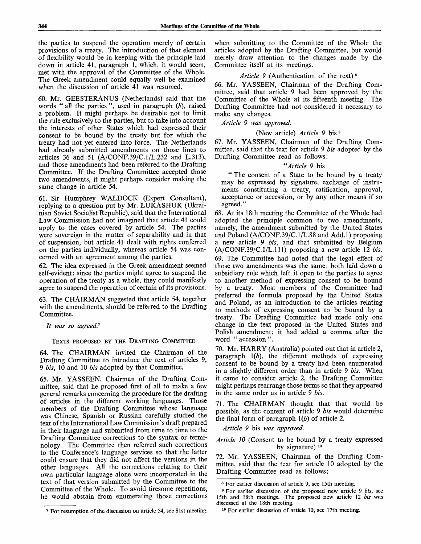the parties to suspend the operation merely of certain provisions of a treaty. The introduction of that element of flexibility would be in keeping with the principle laid down in article 41, paragraph 1, which, it would seem, met with the approval of the Committee of the Whole. The Greek amendment could equally well be examined when the discussion of article 41 was resumed.

60. Mr. GEESTERANUS (Netherlands) said that the words " all the parties ", used in paragraph *(b),* raised a problem. It might perhaps be desirable not to limit the rule exclusively to the parties, but to take into account the interests of other States which had expressed their consent to be bound by the treaty but for which the treaty had not yet entered into force. The Netherlands had already submitted amendments on those lines to articles 36 and 51 (A/CONF.39/C.1/L.232 and L.313), and those amendments had been referred to the Drafting Committee. If the Drafting Committee accepted those two amendments, it might perhaps consider making the same change in article 54.

61. Sir Humphrey WALDOCK (Expert Consultant), replying to a question put by Mr. LUKASHUK (Ukrainian Soviet Socialist Republic), said that the International Law Commission had not imagined that article 41 could apply to the cases covered by article 54. The parties were sovereign in the matter of separability and in that of suspension, but article 41 dealt with rights conferred on the parties individually, whereas article 54 was concerned with an agreement among the parties.

62. The idea expressed in the Greek amendment seemed self-evident: since the parties might agree to suspend the operation of the treaty as a whole, they could manifestly agree to suspend the operation of certain of its provisions.

63. The CHAIRMAN suggested that article 54, together with the amendments, should be referred to the Drafting Committee.

*It was so agreed."<sup>1</sup>*

#### TEXTS PROPOSED BY THE DRAFTING COMMITTEE

64. The CHAIRMAN invited the Chairman of the Drafting Committee to introduce the text of articles 9, 9 *bis,* 10 and 10 *bis* adopted by that Committee.

65. Mr. YASSEEN, Chairman of the Drafting Committee, said that he proposed first of all to make a few general remarks concerning the procedure for the drafting of articles in the different working languages. Those members of the Drafting Committee whose language was Chinese, Spanish or Russian carefully studied the text of the International Law Commission's draft prepared in their language and submitted from time to time to the Drafting Committee corrections to the syntax or terminology. The Committee then referred such corrections to the Conference's language services so that the latter could ensure that they did not affect the versions in the other languages. All the corrections relating to their own particular language alone were incorporated in the text of that version submitted by the Committee to the Committee of the Whole. To avoid tiresome repetitions, he would abstain from enumerating those corrections

when submitting to the Committee of the Whole the articles adopted by the Drafting Committee, but would merely draw attention to the changes made by the Committee itself at its meetings.

## Article 9 (Authentication of the text)<sup>8</sup>

66. Mr. YASSEEN, Chairman of the Drafting Committee, said that article 9 had been approved by the Committee of the Whole at its fifteenth meeting. The Drafting Committee had not considered it necessary to make any changes.

## *Article 9 was approved.*

## (New article) *Article 9* bis 9

67. Mr. YASSEEN, Chairman of the Drafting Committee, said that the text for article 9 *bis* adopted by the Drafting Committee read as follows:

#### *"Article 9* bis

" The consent of a State to be bound by a treaty may be expressed by signature, exchange of instruments constituting a treaty, ratification, approval, acceptance or accession, or by any other means if so agreed."

68. At its 18th meeting the Committee of the Whole had adopted the principle common to two amendments, namely, the amendment submitted by the United States and Poland (A/CONF.39/C.1/L.88 and Add.l) proposing a new article 9 *bis,* and that submitted by Belgium (A/CONF.39/C.1/L.111) proposing a new article 12 *bis.* 69. The Committee had noted that the legal effect of those two amendments was the same: both laid down a subsidiary rule which left it open to the parties to agree to another method of expressing consent to be bound by a treaty. Most members of the Committee had preferred the formula proposed by the United States and Poland, as an introduction to the articles relating to methods of expressing consent to be bound by a treaty. The Drafting Committee had made only one change in the text proposed in the United States and Polish amendment; it had added a comma after the word " accession ".

70. Mr. HARRY (Australia) pointed out that in article 2, paragraph *l(b),* the different methods of expressing consent to be bound by a treaty had been enumerated in a slightly different order than in article 9 *bis.* When it came to consider article 2, the Drafting Committee might perhaps rearrange those terms so that they appeared in the same order as in article 9 *bis.*

71. The CHAIRMAN thought that that would be possible, as the content of article 9 *bis* would determine the final form of paragraph *l(b)* of article 2.

*Article 9* bis *was approved.*

*Article 10* (Consent to be bound by a treaty expressed by signature)<sup>10</sup>

72. Mr. YASSEEN, Chairman of the Drafting Committee, said that the text for article 10 adopted by the Drafting Committee read as follows:

<sup>8</sup> For earlier discussion of article 9, see 15th meeting.

<sup>9</sup> For earlier discussion of the proposed new article 9 *bis,* see 15th and 18th meetings. The proposed new article 12 *bis* was discussed at the 18th meeting.

<sup>7</sup> For resumption of the discussion on article 54, see 81st meeting.

<sup>10</sup> For earlier discussion of article 10, see 17th meeting.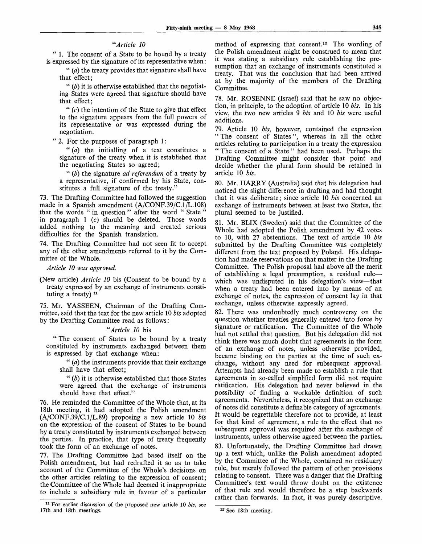#### *"Article 10*

*" I.* The consent of a State to be bound by a treaty is expressed by the signature of its representative when:

" *(a)* the treaty provides that signature shall have that effect;

" $(b)$  it is otherwise established that the negotiating States were agreed that signature should have that effect;

" $(c)$  the intention of the State to give that effect to the signature appears from the full powers of its representative or was expressed during the negotiation.

" 2. For the purposes of paragraph 1:

" *(a)* the initialling of a text constitutes a signature of the treaty when it is established that the negotiating States so agreed;

" (&) the signature *ad referendum* of a treaty by a representative, if confirmed by his State, constitutes a full signature of the treaty."

73. The Drafting Committee had followed the suggestion made in a Spanish amendment (A/CONF.39/C.1/L.108) that the words " in question " after the word " State " in paragraph 1 *(c)* should be deleted. Those words added nothing to the meaning and created serious difficulties for the Spanish translation.

74. The Drafting Committee had not seen fit to accept any of the other amendments referred to it by the Committee of the Whole.

*Article 10 was approved.*

(New article) *Article 10* bis (Consent to be bound by a treaty expressed by an exchange of instruments constituting a treaty)<sup>1</sup>

75. Mr. YASSEEN, Chairman of the Drafting Committee, said that the text for the new article 10 *bis* adopted by the Drafting Committee read as follows:

### *"Article 10* bis

" The consent of States to be bound by a treaty constituted by instruments exchanged between them is expressed by that exchange when:

" *(a)* the instruments provide that their exchange shall have that effect;

" *(b)* it is otherwise established that those States were agreed that the exchange of instruments should have that effect."

76. He reminded the Committee of the Whole that, at its 18th meeting, it had adopted the Polish amendment (A/CONF.39/C.1/L.89) proposing a new article 10 *bis* on the expression of the consent of States to be bound by a treaty constituted by instruments exchanged between the parties. In practice, that type of treaty frequently took the form of an exchange of notes.

77. The Drafting Committee had based itself on the Polish amendment, but had redrafted it so as to take account of the Committee of the Whole's decisions on the other articles relating to the expression of consent; the Committee of the Whole had deemed it inappropriate to include a subsidiary rule in favour of a particular

method of expressing that consent.<sup>12</sup> The wording of the Polish amendment might be construed to mean that it was stating a subsidiary rule establishing the presumption that an exchange of instruments constituted a treaty. That was the conclusion that had been arrived at by the majority of the members of the Drafting Committee.

78. Mr. ROSENNE (Israel) said that he saw no objection, in principle, to the adoption of article 10 *bis.* In his view, the two new articles 9 *bis* and 10 *bis* were useful additions.

79. Article 10 *bis,* however, contained the expression " The consent of States", whereas in all the other articles relating to participation in a treaty the expression " The consent of a State " had been used. Perhaps the Drafting Committee might consider that point and decide whether the plural form should be retained in article 10 *bis.*

80. Mr. HARRY (Australia) said that his delegation had noticed the slight difference in drafting and had thought that it was deliberate; since article 10 *bis* concerned an exchange of instruments between at least two States, the plural seemed to be justified.

81. Mr. BUX (Sweden) said that the Committee of the Whole had adopted the Polish amendment by 42 votes to 10, with 27 abstentions. The text of article 10 *bis* submitted by the Drafting Committee was completely different from the text proposed by Poland. His delegation had made reservations on that matter in the Drafting Committee. The Polish proposal had above all the merit of establishing a legal presumption, a residual rule which was undisputed in his delegation's view—that when a treaty had been entered into by means of an exchange of notes, the expression of consent lay in that exchange, unless otherwise expressly agreed.

82. There was undoubtedly much controversy on the question whether treaties generally entered into force by signature or ratification. The Committee of the Whole had not settled that question. But his delegation did not think there was much doubt that agreements in the form of an exchange of notes, unless otherwise provided, became binding on the parties at the time of such exchange, without any need for subsequent approval. Attempts had already been made to establish a rule that agreements in so-called simplified form did not require ratification. His delegation had never believed in the possibility of finding a workable definition of such agreements. Nevertheless, it recognized that an exchange of notes did constitute a definable category of agreements. It would be regrettable therefore not to provide, at least for that kind of agreement, a rule to the effect that no subsequent approval was required after the exchange of instruments, unless otherwise agreed between the parties.

83. Unfortunately, the Drafting Committee had drawn up a text which, unlike the Polish amendment adopted by the Committee of the Whole, contained no residuary rule, but merely followed the pattern of other provisions relating to consent. There was a danger that the Drafting Committee's text would throw doubt on the existence of that rule and would therefore be a step backwards rather than forwards. In fact, it was purely descriptive.

<sup>11</sup> For earlier discussion of the proposed new article 10 *bis,* see 17th and 18th meetings.

<sup>12</sup> See 18th meeting.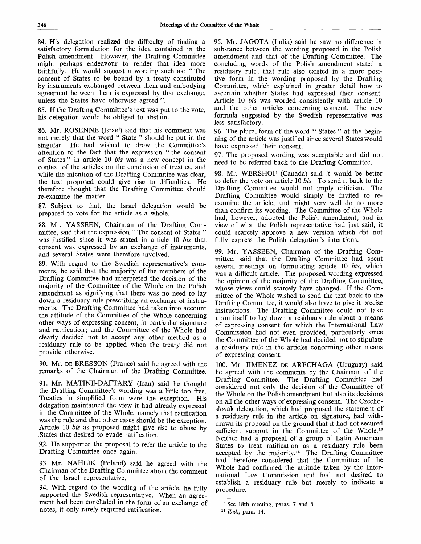84. His delegation realized the difficulty of finding a satisfactory formulation for the idea contained in the Polish amendment. However, the Drafting Committee might perhaps endeavour to render that idea more faithfully. He would suggest a wording such as: "The consent of States to be bound by a treaty constituted by instruments exchanged between them and embodying agreement between them is expressed by that exchange, unless the States have otherwise agreed ".

85. If the Drafting Committee's text was put to the vote, his delegation would be obliged to abstain.

86. Mr. ROSENNE (Israel) said that his comment was not merely that the word " State " should be put in the singular. He had wished to draw the Committee's attention to the fact that the expression " the consent of States " in article 10 *bis* was a new concept in the context of the articles on the conclusion of treaties, and while the intention of the Drafting Committee was clear, the text proposed could give rise to difficulties. He therefore thought that the Drafting Committee should re-examine the matter.

87. Subject to that, the Israel delegation would be prepared to vote for the article as a whole.

88. Mr. YASSEEN, Chairman of the Drafting Committee, said that the expression " The consent of States" was justified since it was stated in article 10 *bis* that consent was expressed by an exchange of instruments, and several States were therefore involved.

89. With regard to the Swedish representative's comments, he said that the majority of the members of the Drafting Committee had interpreted the decision of the majority of the Committee of the Whole on the Polish amendment as signifying that there was no need to lay down a residuary rule prescribing an exchange of instruments. The Drafting Committee had taken into account the attitude of the Committee of the Whole concerning other ways of expressing consent, in particular signature and ratification; and the Committee of the Whole had clearly decided not to accept any other method as a residuary rule to be applied when the treaty did not provide otherwise.

90. Mr. DE BRESSON (France) said he agreed with the remarks of the Chairman of the Drafting Committee.

91. Mr. MATINE-DAFTARY (Iran) said he thought the Drafting Committee's wording was a little too free. Treaties in simplified form were the exception. His delegation maintained the view it had already expressed in the Committee of the Whole, namely that ratification was the rule and that other cases should be the exception. Article 10 *bis* as proposed might give rise to abuse by .States that desired to evade ratification.

92. He supported the proposal to refer the article to the Drafting Committee once again.

93. Mr. NAHLIK (Poland) said he agreed with the Chairman of the Drafting Committee about the comment of the Israel representative.

94. With regard to the wording of the article, he fully supported the Swedish representative. When an agreement had been concluded in the form of an exchange of notes, it only rarely required ratification.

95. Mr. JAGOTA (India) said he saw no difference in substance between the wording proposed in the Polish amendment and that of the Drafting Committee. The concluding words of the Polish amendment stated a residuary rule; that rule also existed in a more positive form in the wording proposed by the Drafting Committee, which explained in greater detail how to ascertain whether States had expressed their consent. Article 10 *bis* was worded consistently with article 10 and the other articles concerning consent. The new formula suggested by the Swedish representative was less satisfactory.

96. The plural form of the word " States " at the beginning of the article was justified since several States would have expressed their consent.

97. The proposed wording was acceptable and did not need to be referred back to the Drafting Committee.

98. Mr. WERSHOF (Canada) said it would be better to defer the vote on article 10 *bis.* To send it back to the Drafting Committee would not imply criticism. The Drafting Committee would simply be invited to reexamine the article, and might very well do no more than confirm its wording. The Committee of the Whole had, however, adopted the Polish amendment, and in view of what the Polish representative had just said, it could scarcely approve a new version which did not fully express the Polish delegation's intentions.

99. Mr. YASSEEN, Chairman of the Drafting Committee, said that the Drafting Committee had spent several meetings on formulating article 10 *bis,* which was a difficult article. The proposed wording expressed the opinion of the majority of the Drafting Committee, whose views could scarcely have changed. If the Committee of the Whole wished to send the text back to the Drafting Committee, it would also have to give it precise instructions. The Drafting Committee could not take upon itself to lay down a residuary rule about a means of expressing consent for which the International Law Commission had not even provided, particularly since the Committee of the Whole had decided not to stipulate a residuary rule in the articles concerning other means of expressing consent.

100. Mr. JIMENEZ DE ARECHAGA (Uruguay) said he agreed with the comments by the Chairman of the Drafting Committee. The Drafting Committee had considered not only the decision of the Committee of the Whole on the Polish amendment but also its decisions on all the other ways of expressing consent. The Czechoslovak delegation, which had proposed the statement of a residuary rule in the article on signature, had withdrawn its proposal on the ground that it had not secured sufficient support in the Committee of the Whole.<sup>13</sup> Neither had a proposal of a group of Latin American States to treat ratification as a residuary rule been accepted by the majority.<sup>14</sup> The Drafting Committee had therefore considered that the Committee of the Whole had confirmed the attitude taken by the International Law Commission and had not desired to establish a residuary rule but merely to indicate a procedure.

<sup>&</sup>lt;sup>13</sup> See 18th meeting, paras. 7 and 8.

<sup>14</sup>  *Ibid.,* para. 14.